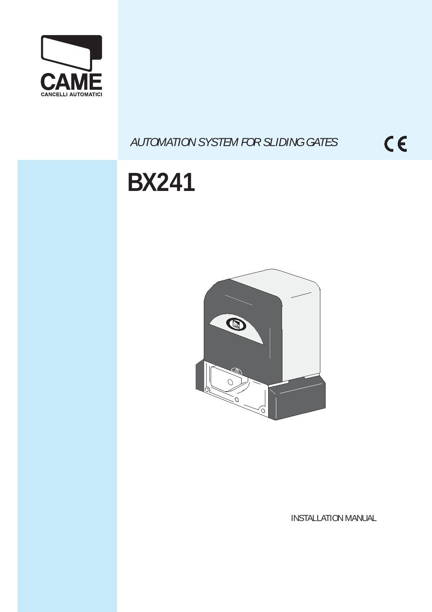

## *AUTOMATION SYSTEM FOR SLIDING GATES*

 $C \in$ 

# **BX241**



INSTALLATION MANUAL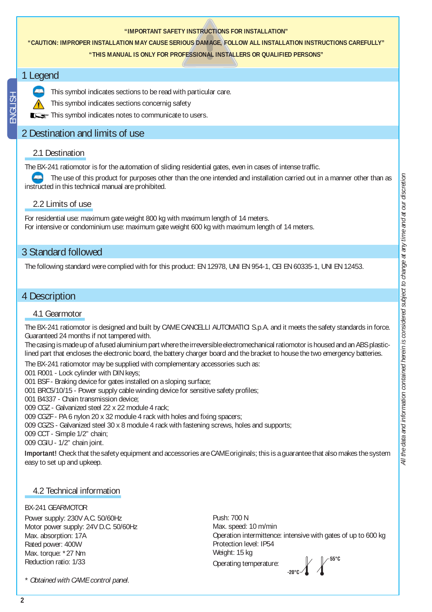#### **"IMPORTANT SAFETY INSTRUCTIONS FOR INSTALLATION"**

## **"CAUTION: IMPROPER INSTALLATION MAY CAUSE SERIOUS DAMAGE, FOLLOW ALL INSTALLATION INSTRUCTIONS CAREFULLY"**

**"THIS MANUAL IS ONLY FOR PROFESSIONAL INSTALLERS OR QUALIFIED PERSONS"**

## 1 Legend



This symbol indicates sections to be read with particular care.

This symbol indicates sections concernig safety

This symbol indicates notes to communicate to users.

## 2 Destination and limits of use

### 2.1 Destination

The BX-241 ratiomotor is for the automation of sliding residential gates, even in cases of intense traffic.

 The use of this product for purposes other than the one intended and installation carried out in a manner other than as instructed in this technical manual are prohibited.

## 2.2 Limits of use

For residential use: maximum gate weight 800 kg with maximum length of 14 meters. For intensive or condominium use: maximum gate weight 600 kg with maximum length of 14 meters.

## 3 Standard followed

The following standard were complied with for this product: EN 12978, UNI EN 954-1, CEI EN 60335-1, UNI EN 12453.

## 4 Description

## 4.1 Gearmotor

The BX-241 ratiomotor is designed and built by CAME CANCELLI AUTOMATICI S.p.A. and it meets the safety standards in force. Guaranteed 24 months if not tampered with.

The casing is made up of a fused aluminium part where the irreversible electromechanical ratiomotor is housed and an ABS plasticlined part that encloses the electronic board, the battery charger board and the bracket to house the two emergency batteries.

The BX-241 ratiomotor may be supplied with complementary accessories such as:

001 R001 - Lock cylinder with DIN keys;

001 BSF - Braking device for gates installed on a sloping surface;

001 BRC5/10/15 - Power supply cable winding device for sensitive safety profiles;

001 B4337 - Chain transmission device;

009 CGZ - Galvanized steel 22 x 22 module 4 rack;

009 CGZF - PA 6 nylon 20 x 32 module 4 rack with holes and fixing spacers;

009 CGZS - Galvanized steel 30 x 8 module 4 rack with fastening screws, holes and supports;

009 CCT - Simple 1/2" chain;

009 CGIU - 1/2" chain joint.

**Important!** Check that the safety equipment and accessories are CAME originals; this is a guarantee that also makes the system easy to set up and upkeep.

## 4.2 Technical information

#### BX-241 GEARMOTOR

Power supply: 230V A.C. 50/60Hz Motor power supply: 24V D.C. 50/60Hz Max. absorption: 17A Rated power: 400W Max. torque: \*27 Nm Reduction ratio: 1/33

55°C Push: 700 N Max. speed: 10 m/min Operation intermittence: intensive with gates of up to 600 kg Protection level: IP54 Weight: 15 kg Operating temperature:

**#**

*\* Obtained with CAME control panel.*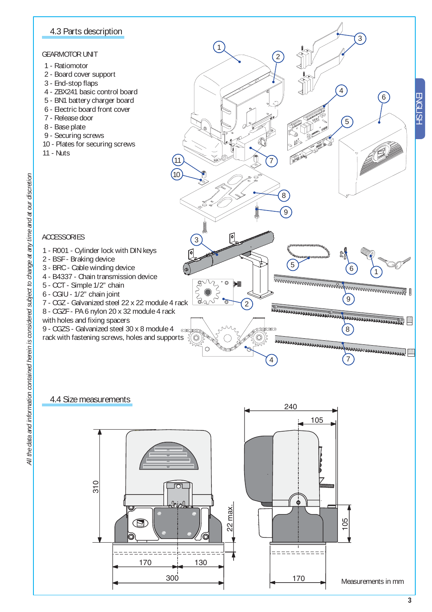## 4.3 Parts description

#### GEARMOTOR UNIT

- 1 Ratiomotor
- 2 Board cover support
- 3 End-stop flaps
- 4 ZBX241 basic control board
- 5 BN1 battery charger board
- 6 Electric board front cover
- 7 Release door
- 8 Base plate

ACCESSORIES

2 - BSF - Braking device

5 - CCT - Simple 1/2" chain 6 - CGIU - 1/2" chain joint

with holes and fixing spacers

- 9 Securing screws
- 10 Plates for securing screws
- 11 Nuts



## 4.4 Size measurements

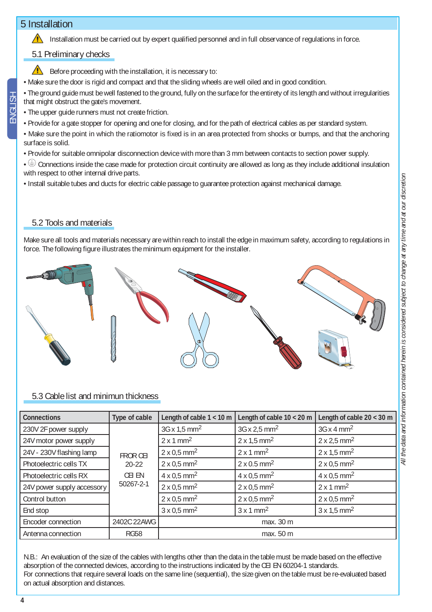## 5 Installation

Installation must be carried out by expert qualified personnel and in full observance of regulations in force.

## 5.1 Preliminary checks



• Make sure the door is rigid and compact and that the sliding wheels are well oiled and in good condition.

• The ground guide must be well fastened to the ground, fully on the surface for the entirety of its length and without irregularities that might obstruct the gate's movement.

- The upper guide runners must not create friction.
- Provide for a gate stopper for opening and one for closing, and for the path of electrical cables as per standard system.
- Make sure the point in which the ratiomotor is fixed is in an area protected from shocks or bumps, and that the anchoring surface is solid.
- Provide for suitable omnipolar disconnection device with more than 3 mm between contacts to section power supply.
- $\textcircled{\tiny{\#}}$  Connections inside the case made for protection circuit continuity are allowed as long as they include additional insulation with respect to other internal drive parts.
- Install suitable tubes and ducts for electric cable passage to guarantee protection against mechanical damage.

## 5.2 Tools and materials

Make sure all tools and materials necessary are within reach to install the edge in maximum safety, according to regulations in force. The following figure illustrates the minimum equipment for the installer.



## 5.3 Cable list and minimun thickness

| <b>Connections</b>         | Type of cable                                       | Length of cable $1 < 10$ m      | Length of cable $10 < 20$ m    | Length of cable $20 < 30$ m    |
|----------------------------|-----------------------------------------------------|---------------------------------|--------------------------------|--------------------------------|
| 230V 2F power supply       | <b>FROR CEI</b><br>$20 - 22$<br>CEI EN<br>50267-2-1 | $3G \times 1.5$ mm <sup>2</sup> | 3G x 2,5 mm <sup>2</sup>       | $3G \times 4$ mm <sup>2</sup>  |
| 24V motor power supply     |                                                     | $2 \times 1$ mm <sup>2</sup>    | $2 \times 1.5$ mm <sup>2</sup> | 2 x 2.5 mm <sup>2</sup>        |
| 24V - 230V flashing lamp   |                                                     | $2 \times 0.5$ mm <sup>2</sup>  | $2 \times 1$ mm <sup>2</sup>   | $2 \times 1.5$ mm <sup>2</sup> |
| Photoelectric cells TX     |                                                     | $2 \times 0.5$ mm <sup>2</sup>  | $2 \times 0.5$ mm <sup>2</sup> | $2 \times 0.5$ mm <sup>2</sup> |
| Photoelectric cells RX     |                                                     | $4 \times 0.5$ mm <sup>2</sup>  | $4 \times 0.5$ mm <sup>2</sup> | $4 \times 0.5$ mm <sup>2</sup> |
| 24V power supply accessory |                                                     | $2 \times 0.5$ mm <sup>2</sup>  | $2 \times 0.5$ mm <sup>2</sup> | $2 \times 1$ mm <sup>2</sup>   |
| Control button             |                                                     | $2 \times 0.5$ mm <sup>2</sup>  | $2 \times 0.5$ mm <sup>2</sup> | $2 \times 0.5$ mm <sup>2</sup> |
| End stop                   |                                                     | $3 \times 0.5$ mm <sup>2</sup>  | $3 \times 1$ mm <sup>2</sup>   | $3 \times 1.5$ mm <sup>2</sup> |
| Encoder connection         | 2402C 22AWG                                         | max. 30 m                       |                                |                                |
| Antenna connection         | RG58                                                | max. 50 m                       |                                |                                |

N.B.: An evaluation of the size of the cables with lengths other than the data in the table must be made based on the effective absorption of the connected devices, according to the instructions indicated by the CEI EN 60204-1 standards. For connections that require several loads on the same line (sequential), the size given on the table must be re-evaluated based on actual absorption and distances.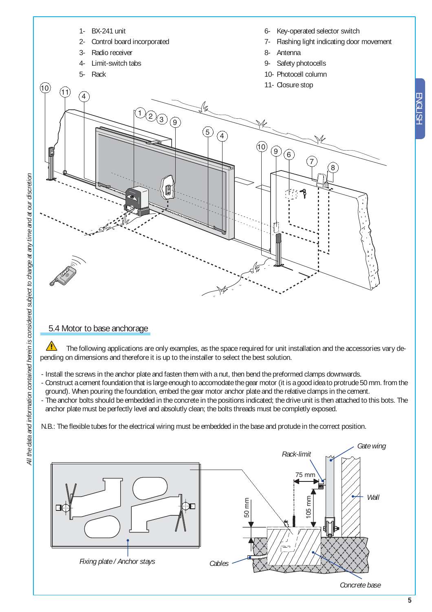

## 5.4 Motor to base anchorage

The following applications are only examples, as the space required for unit installation and the accessories vary depending on dimensions and therefore it is up to the installer to select the best solution.

- Install the screws in the anchor plate and fasten them with a nut, then bend the preformed clamps downwards.
- Construct a cement foundation that is large enough to accomodate the gear motor (it is a good idea to protrude 50 mm. from the ground). When pouring the foundation, embed the gear motor anchor plate and the relative clamps in the cement.
- The anchor bolts should be embedded in the concrete in the positions indicated; the drive unit is then attached to this bots. The anchor plate must be perfectly level and absolutly clean; the bolts threads must be completly exposed.

N.B.: The flexible tubes for the electrical wiring must be embedded in the base and protude in the correct position.



*Concrete base*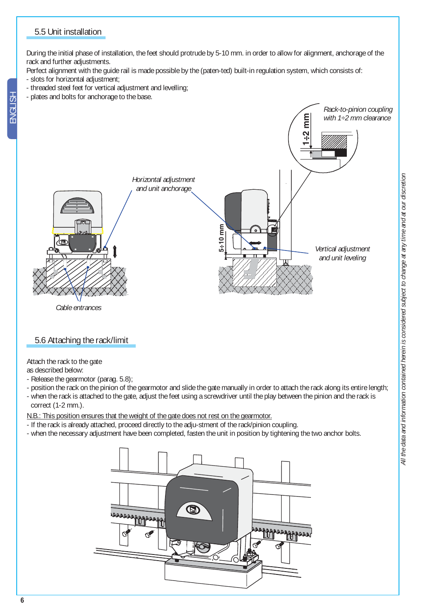## 5.5 Unit installation

During the initial phase of installation, the feet should protrude by 5-10 mm. in order to allow for alignment, anchorage of the rack and further adjustments.

Perfect alignment with the guide rail is made possible by the (paten-ted) built-in regulation system, which consists of:

- slots for horizontal adjustment;
- threaded steel feet for vertical adjustment and levelling;
- plates and bolts for anchorage to the base.



*Cable entrances*

## 5.6 Attaching the rack/limit

Attach the rack to the gate

as described below:

- Release the gearmotor (parag. 5.8);
- position the rack on the pinion of the gearmotor and slide the gate manually in order to attach the rack along its entire length;
- when the rack is attached to the gate, adjust the feet using a screwdriver until the play between the pinion and the rack is correct (1-2 mm.).

N.B.: This position ensures that the weight of the gate does not rest on the gearmotor.

- If the rack is already attached, proceed directly to the adju-stment of the rack/pinion coupling.
- when the necessary adjustment have been completed, fasten the unit in position by tightening the two anchor bolts.

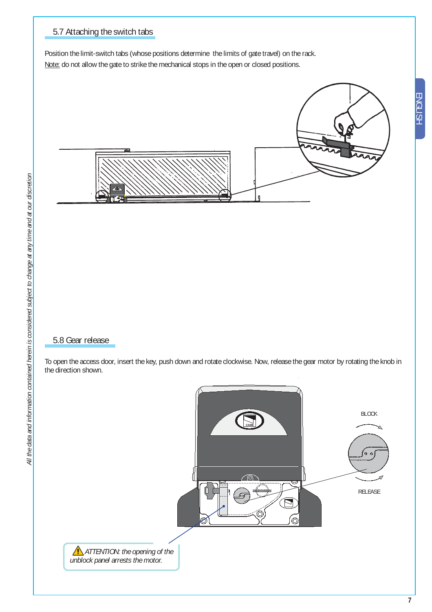## 5.7 Attaching the switch tabs

Position the limit-switch tabs (whose positions determine the limits of gate travel) on the rack. Note: do not allow the gate to strike the mechanical stops in the open or closed positions.



## 5.8 Gear release

To open the access door, insert the key, push down and rotate clockwise. Now, release the gear motor by rotating the knob in the direction shown.

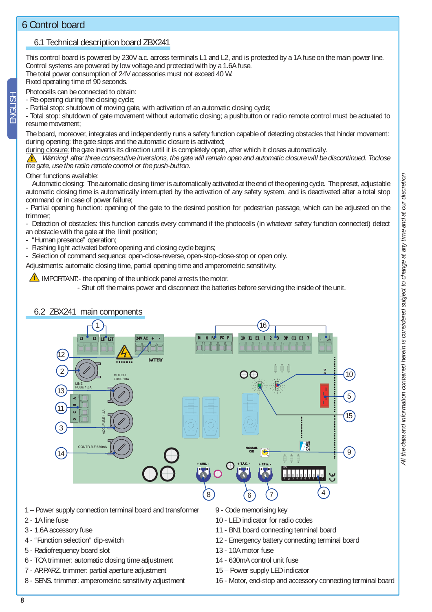ENGLISH

## 6.1 Technical description board ZBX241

This control board is powered by 230V a.c. across terminals L1 and L2, and is protected by a 1A fuse on the main power line. Control systems are powered by low voltage and protected with by a 1.6A fuse. The total power consumption of 24V accessories must not exceed 40 W.

Fixed operating time of 90 seconds.

Photocells can be connected to obtain:

- Re-opening during the closing cycle;

- Partial stop: shutdown of moving gate, with activation of an automatic closing cycle;

- Total stop: shutdown of gate movement without automatic closing; a pushbutton or radio remote control must be actuated to resume movement;

The board, moreover, integrates and independently runs a safety function capable of detecting obstacles that hinder movement: during opening: the gate stops and the automatic closure is activated;

during closure: the gate inverts its direction until it is completely open, after which it closes automatically.

 *Warning! after three consecutive inversions, the gate will remain open and automatic closure will be discontinued. Toclose the gate, use the radio remote control or the push-button.*

#### Other functions available:

 Automatic closing: The automatic closing timer is automatically activated at the end of the opening cycle. The preset, adjustable automatic closing time is automatically interrupted by the activation of any safety system, and is deactivated after a total stop command or in case of power failure;

- Partial opening function: opening of the gate to the desired position for pedestrian passage, which can be adjusted on the trimmer;

- Detection of obstacles: this function cancels every command if the photocells (in whatever safety function connected) detect an obstacle with the gate at the limit position;

- "Human presence" operation;<br>- Flashing light activated before

Flashing light activated before opening and closing cycle begins;

Selection of command sequence: open-close-reverse, open-stop-close-stop or open only.

Adjustments: automatic closing time, partial opening time and amperometric sensitivity.

#### IMPORTANT:- the opening of the unblock panel arrests the motor.

- Shut off the mains power and disconnect the batteries before servicing the inside of the unit.

#### 6.2 ZBX241 main components



- 1 Power supply connection terminal board and transformer
- 2 1A line fuse
- 3 1.6A accessory fuse
- 4 "Function selection" dip-switch
- 5 Radiofrequency board slot
- 6 TCA trimmer: automatic closing time adjustment
- 7 AP.PARZ. trimmer: partial aperture adjustment
- 8 SENS. trimmer: amperometric sensitivity adjustment
- 9 Code memorising key
	- 10 LED indicator for radio codes
	- 11 BN1 board connecting terminal board
	- 12 Emergency battery connecting terminal board
	- 13 10A motor fuse
- 14 630mA control unit fuse
- 15 Power supply LED indicator
- 16 Motor, end-stop and accessory connecting terminal board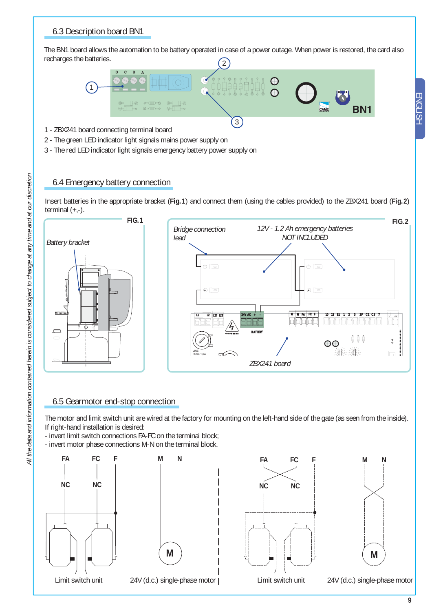## 6.3 Description board BN1

2 The BN1 board allows the automation to be battery operated in case of a power outage. When power is restored, the card also recharges the batteries.



- 1 ZBX241 board connecting terminal board
- 2 The green LED indicator light signals mains power supply on
- 3 The red LED indicator light signals emergency battery power supply on

## 6.4 Emergency battery connection

Insert batteries in the appropriate bracket (**Fig.1**) and connect them (using the cables provided) to the ZBX241 board (**Fig.2**) terminal  $(+,-)$ .



## 6.5 Gearmotor end-stop connection

The motor and limit switch unit are wired at the factory for mounting on the left-hand side of the gate (as seen from the inside). If right-hand installation is desired:

- invert limit switch connections FA-FC on the terminal block;

- invert motor phase connections M-N on the terminal block.









24V (d.c.) single-phase motor

ENGLISH

ENGLISH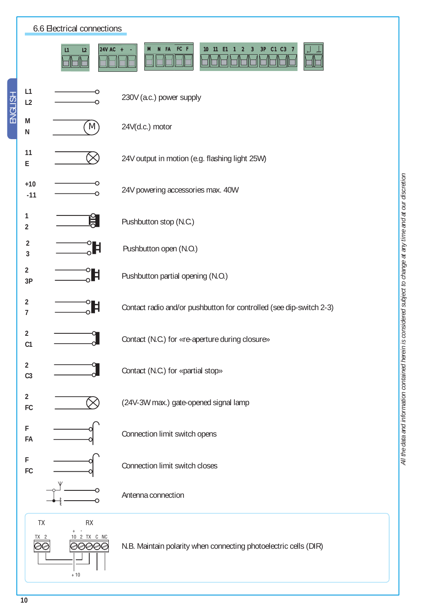| 6.6 Electrical connections                |                                                                                              |  |  |  |
|-------------------------------------------|----------------------------------------------------------------------------------------------|--|--|--|
| $\vert$ 24V AC +<br>L1<br>L2              | N FA FC F<br>10 <sub>1</sub><br>3P C1 C3 7<br>M<br>11<br>E <sub>1</sub><br>3<br>$\mathbf{2}$ |  |  |  |
| L1<br>L2                                  | 230V (a.c.) power supply                                                                     |  |  |  |
| M<br>(M)<br>${\sf N}$                     | 24V(d.c.) motor                                                                              |  |  |  |
| 11<br>${\sf E}$                           | 24V output in motion (e.g. flashing light 25W)                                               |  |  |  |
| $+10$<br>$-11$                            | 24V powering accessories max. 40W                                                            |  |  |  |
| $\mathbf{1}$<br>月<br>$\overline{2}$       | Pushbutton stop (N.C.)                                                                       |  |  |  |
| $\overline{2}$<br>Ħ<br>3                  | Pushbutton open (N.O.)                                                                       |  |  |  |
| $\overline{2}$<br>Ħ<br>3P                 | Pushbutton partial opening (N.O.)                                                            |  |  |  |
| $\overline{2}$<br>Ħ<br>$\overline{7}$     | Contact radio and/or pushbutton for controlled (see dip-switch 2-3)                          |  |  |  |
| $\overline{2}$<br>C <sub>1</sub>          | Contact (N.C.) for «re-aperture during closure»                                              |  |  |  |
| $\overline{2}$<br>C <sub>3</sub>          | Contact (N.C.) for «partial stop»                                                            |  |  |  |
| $\overline{2}$<br>FC                      | (24V-3W max.) gate-opened signal lamp                                                        |  |  |  |
| F<br>FA                                   | Connection limit switch opens                                                                |  |  |  |
| F<br>FC                                   | Connection limit switch closes                                                               |  |  |  |
|                                           | Antenna connection                                                                           |  |  |  |
| TX<br>RX<br>10 2 TX C NC<br>6006<br>$+10$ | N.B. Maintain polarity when connecting photoelectric cells (DIR)                             |  |  |  |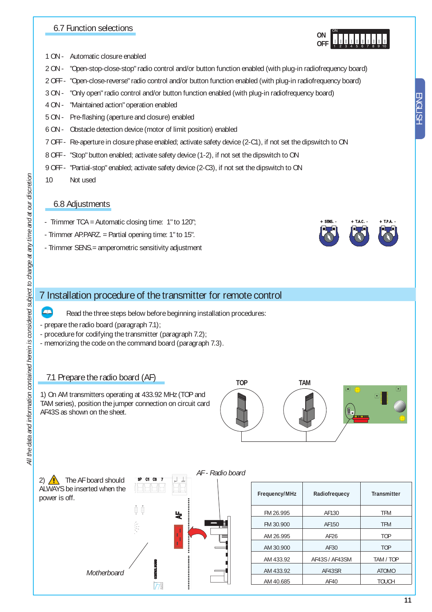## 6.7 Function selections

- 1 ON Automatic closure enabled
- 2 ON "Open-stop-close-stop" radio control and/or button function enabled (with plug-in radiofrequency board)
- 2 OFF "Open-close-reverse" radio control and/or button function enabled (with plug-in radiofrequency board)
- 3 ON "Only open" radio control and/or button function enabled (with plug-in radiofrequency board)
- 4 ON "Maintained action" operation enabled
- 5 ON Pre-flashing (aperture and closure) enabled
- 6 ON Obstacle detection device (motor of limit position) enabled
- 7 OFF Re-aperture in closure phase enabled; activate safety device (2-C1), if not set the dipswitch to ON
- 8 OFF "Stop" button enabled; activate safety device (1-2), if not set the dipswitch to ON
- 9 OFF "Partial-stop" enabled; activate safety device (2-C3), if not set the dipswitch to ON
- 10 Not used

## 6.8 Adjustments

- Trimmer TCA = Automatic closing time: 1" to 120";
- Trimmer AP.PARZ. = Partial opening time: 1" to 15".
- Trimmer SENS.= amperometric sensitivity adjustment

## 7 Installation procedure of the transmitter for remote control

Read the three steps below before beginning installation procedures:

- prepare the radio board (paragraph 7.1);
- procedure for codifying the transmitter (paragraph 7.2);
- memorizing the code on the command board (paragraph 7.3).

## 7.1 Prepare the radio board (AF)

1) On AM transmitters operating at 433.92 MHz (TOP and TAM series), position the jumper connection on circuit card AF43S as shown on the sheet.







2) **1** The AF board should  $\frac{3P}{P}$  or  $\frac{3P}{P}$ ALWAYS be inserted when the power is off.

*Motherboard*



| Frequency/MHz | Radiofrequecy  | Transmitter  |
|---------------|----------------|--------------|
| FM 26.995     | AF130          | <b>TFM</b>   |
| FM 30.900     | AF150          | <b>TFM</b>   |
| AM 26.995     | AF26           | <b>TOP</b>   |
| AM 30.900     | AF30           | <b>TOP</b>   |
| AM 433.92     | AF43S / AF43SM | TAM / TOP    |
| AM 433.92     | AF43SR         | <b>ATOMO</b> |
| AM 40.685     | AF40           | <b>TOUCH</b> |





ENGLISH

ENGLISF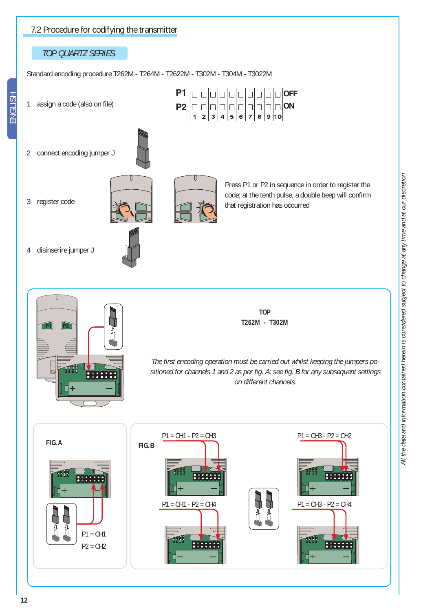



**2** 000000000000 **0 1**  $\Box$ 

 $\mathbb{I}$ 

that registration has occurred

2 connect encoding jumper J

1 assign a code (also on file)

*TOP QUARTZ SERIES*

7.2 Procedure for codifying the transmitter

3 register code



Standard encoding procedure T262M - T264M - T2622M - T302M - T304M - T3022M

4 disinserire jumper J

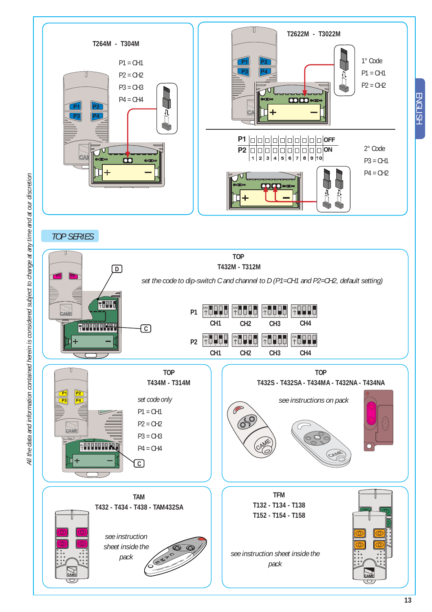

*TOP SERIES*



ENGLISH

**ENGLISH**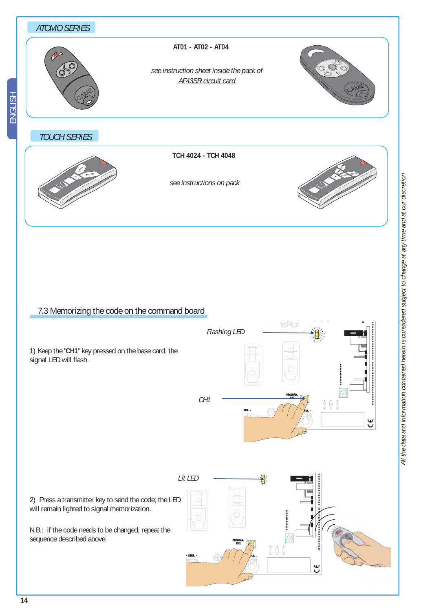

## 7.3 Memorizing the code on the command board

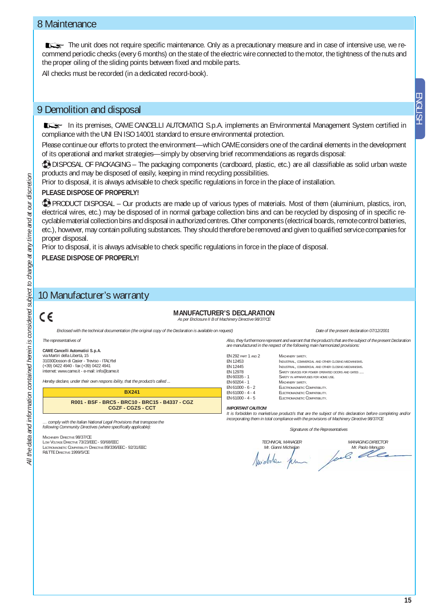## 8 Maintenance

The unit does not require specific maintenance. Only as a precautionary measure and in case of intensive use, we recommend periodic checks (every 6 months) on the state of the electric wire connected to the motor, the tightness of the nuts and the proper oiling of the sliding points between fixed and mobile parts.

All checks must be recorded (in a dedicated record-book).

## 9 Demolition and disposal

In its premises, CAME CANCELLI AUTOMATICI S.p.A. implements an Environmental Management System certified in compliance with the UNI EN ISO 14001 standard to ensure environmental protection.

Please continue our efforts to protect the environment—which CAME considers one of the cardinal elements in the development of its operational and market strategies—simply by observing brief recommendations as regards disposal:

**DISPOSAL OF PACKAGING – The packaging components (cardboard, plastic, etc.) are all classifiable as solid urban waste** products and may be disposed of easily, keeping in mind recycling possibilities.

Prior to disposal, it is always advisable to check specific regulations in force in the place of installation.

#### **PLEASE DISPOSE OF PROPERLY!**

**APRODUCT DISPOSAL – Our products are made up of various types of materials. Most of them (aluminium, plastics, iron,** electrical wires, etc.) may be disposed of in normal garbage collection bins and can be recycled by disposing of in specific recyclable material collection bins and disposal in authorized centres. Other components (electrical boards, remote control batteries, etc.), however, may contain polluting substances. They should therefore be removed and given to qualified service companies for proper disposal.

Prior to disposal, it is always advisable to check specific regulations in force in the place of disposal.

**PLEASE DISPOSE OF PROPERLY!**

## 10 Manufacturer's warranty

## c٤

#### **MANUFACTURER'S DECLARATION**

*As per Enclosure II B of Machinery Directive 98/37/CE*

*Enclosed with the technical documentation (the original copy of the Declaration is available on request) Date of the present declaration 07/12/2001*

#### *The representatives of*

**CAME Cancelli Automatici S.p.A.** via Martiri della Libertà, 15 31030Dosson di Casier - Treviso - ITALYtel (+39) 0422 4940 - fax (+39) 0422 4941 internet: www.came.it - e-mail: info@came.it

*Hereby declare, under their own respons ibility, that the product/s called ...*

**BX241 R001 - BSF - BRC5 - BRC10 - BRC15 - B4337 - CGZ CGZF - CGZS - CCT** 

*… comply with the Italian National Legal Provisions that transpose the following Community Directives (where specifi cally applicable):*

#### MACHINERY DIRECTIVE 98/37/CE

LOW VOLTAGE DIRECTIVE 73/23/EEC - 93/68/EEC LECTROMAGNETIC COMPATIBILITY DIRECTIVE 89/336/EEC - 92/31/EEC R&TTE DIRECTIVE 1999/5/CE

*Also, they furthermore represent and warrant that the product/s that are the subject of the present Declaration are manufactured in the respect of the following main harmonized provisions:*

#### EN 292 PART 1 AND 2 MACHINERY SAFETY.<br>FN 12453 MNUISTRIAL COMME EN 12453<br>FN 12445 **INDUSTRIAL, COMMERCIAL AND OTHER CLOSING MECHANISMS**

EN 12445 INDUSTRIAL, COMMERCIAL AND OTHER CLOSING MECHANISMS. EN 12978 SAFETY DEVICES FOR POWER OPERATED DOORS AND GATES ...<br>EN 60335 - 1 SAFETY IN APPARATUSES FOR HOME USE. EN 60335 - 1 SAFETY IN APPARATUSES FOR HOME USE.<br>EN 60204 - 1 MACHINERY SAFETY. EN 60204 - 1 MACHINERY SAFETY.<br>EN 61000 - 6 - 2 ELECTROMAGNETIC C EN 61000 - 6 - 2 ELECTROMAGNETIC COMPATIBILITY.<br>EN 61000 - 4 - 4 ELECTROMAGNETIC COMPATIBILITY EN 61000 - 4 - 4 ELECTROMAGNETIC COMPATIBILITY<br>EN 61000 - 4 - 5 ELECTROMAGNETIC COMPATIBILITY ELECTROMAGNETIC COMPATIBILITY.

#### *IMPORTANT CAUTION!*

*It is forbidden to market/use product/s that are the subject of this declaration before completing and/or incorporating them in total compliance with the provisions of Machinery Directive 98/37/CE*

*Signatures of the Representatives*

*TECHNICAL MANAGER Mr. Gianni Michielan* Awebdau

*MANAGING DIRECTOR* Mr. Paolo Menuzzo